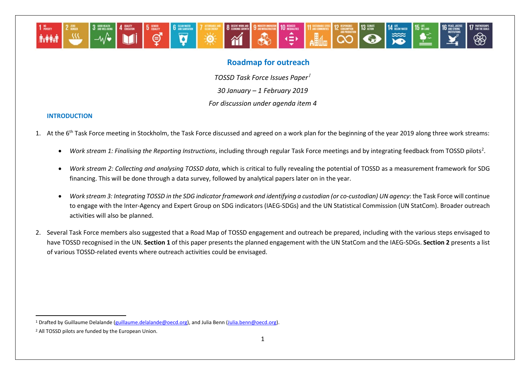

# <span id="page-0-1"></span><span id="page-0-0"></span>**Roadmap for outreach**

*TOSSD Task Force Issues Paper[1](#page-0-0) 30 January – 1 February 2019*

*For discussion under agenda item 4*

# **INTRODUCTION**

- 1. At the 6<sup>th</sup> Task Force meeting in Stockholm, the Task Force discussed and agreed on a work plan for the beginning of the year 2019 along three work streams:
	- Work stream 1: Finalising the Reporting Instructions, including through regular Task Force meetings and by integrating feedback from TOSSD pilots<sup>[2](#page-0-1)</sup>.
	- *Work stream 2: Collecting and analysing TOSSD data*, which is critical to fully revealing the potential of TOSSD as a measurement framework for SDG financing. This will be done through a data survey, followed by analytical papers later on in the year.
	- *Work stream 3: Integrating TOSSD in the SDG indicator framework and identifying a custodian (or co-custodian) UN agency*: the Task Force will continue to engage with the Inter-Agency and Expert Group on SDG indicators (IAEG-SDGs) and the UN Statistical Commission (UN StatCom). Broader outreach activities will also be planned.
- 2. Several Task Force members also suggested that a Road Map of TOSSD engagement and outreach be prepared, including with the various steps envisaged to have TOSSD recognised in the UN. **Section 1** of this paper presents the planned engagement with the UN StatCom and the IAEG-SDGs. **Section 2** presents a list of various TOSSD-related events where outreach activities could be envisaged.

-

<sup>1</sup> Drafted by Guillaume Delalande [\(guillaume.delalande@oecd.org\)](mailto:Guillaume.delalande@oecd.org), and Julia Benn [\(Julia.benn@oecd.org\).](mailto:Julia.benn@oecd.org)

<sup>2</sup> All TOSSD pilots are funded by the European Union.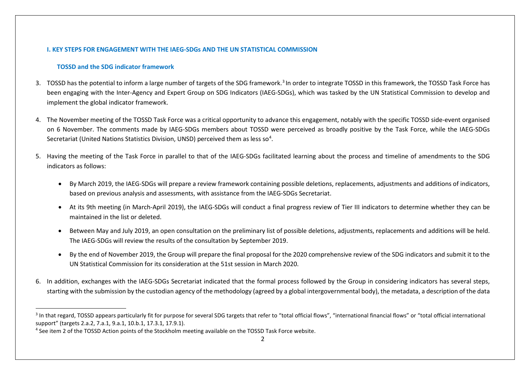# <span id="page-1-1"></span><span id="page-1-0"></span>**I. KEY STEPS FOR ENGAGEMENT WITH THE IAEG-SDGs AND THE UN STATISTICAL COMMISSION**

### **TOSSD and the SDG indicator framework**

-

- [3](#page-1-0). TOSSD has the potential to inform a large number of targets of the SDG framework.<sup>3</sup> In order to integrate TOSSD in this framework, the TOSSD Task Force has been engaging with the Inter-Agency and Expert Group on SDG Indicators (IAEG-SDGs), which was tasked by the UN Statistical Commission to develop and implement the global indicator framework.
- 4. The November meeting of the TOSSD Task Force was a critical opportunity to advance this engagement, notably with the specific TOSSD side-event organised on 6 November. The comments made by IAEG-SDGs members about TOSSD were perceived as broadly positive by the Task Force, while the IAEG-SDGs Secretariat (United Nations Statistics Division, UNSD) perceived them as less so<sup>[4](#page-1-1)</sup>.
- 5. Having the meeting of the Task Force in parallel to that of the IAEG-SDGs facilitated learning about the process and timeline of amendments to the SDG indicators as follows:
	- By March 2019, the IAEG-SDGs will prepare a review framework containing possible deletions, replacements, adjustments and additions of indicators, based on previous analysis and assessments, with assistance from the IAEG-SDGs Secretariat.
	- At its 9th meeting (in March-April 2019), the IAEG-SDGs will conduct a final progress review of Tier III indicators to determine whether they can be maintained in the list or deleted.
	- Between May and July 2019, an open consultation on the preliminary list of possible deletions, adjustments, replacements and additions will be held. The IAEG-SDGs will review the results of the consultation by September 2019.
	- By the end of November 2019, the Group will prepare the final proposal for the 2020 comprehensive review of the SDG indicators and submit it to the UN Statistical Commission for its consideration at the 51st session in March 2020.
- 6. In addition, exchanges with the IAEG-SDGs Secretariat indicated that the formal process followed by the Group in considering indicators has several steps, starting with the submission by the custodian agency of the methodology (agreed by a global intergovernmental body), the metadata, a description of the data

<sup>&</sup>lt;sup>3</sup> In that regard, TOSSD appears particularly fit for purpose for several SDG targets that refer to "total official flows", "international financial flows" or "total official international support" (targets 2.a.2, 7.a.1, 9.a.1, 10.b.1, 17.3.1, 17.9.1).

<sup>4</sup> See item 2 of the TOSSD Action points of the Stockholm meeting available on the TOSSD Task Force website.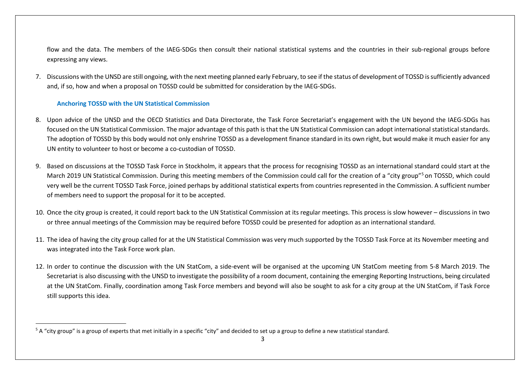<span id="page-2-0"></span>flow and the data. The members of the IAEG-SDGs then consult their national statistical systems and the countries in their sub-regional groups before expressing any views.

7. Discussions with the UNSD are still ongoing, with the next meeting planned early February, to see if the status of development of TOSSD is sufficiently advanced and, if so, how and when a proposal on TOSSD could be submitted for consideration by the IAEG-SDGs.

### **Anchoring TOSSD with the UN Statistical Commission**

<u>.</u>

- 8. Upon advice of the UNSD and the OECD Statistics and Data Directorate, the Task Force Secretariat's engagement with the UN beyond the IAEG-SDGs has focused on the UN Statistical Commission. The major advantage of this path is that the UN Statistical Commission can adopt international statistical standards. The adoption of TOSSD by this body would not only enshrine TOSSD as a development finance standard in its own right, but would make it much easier for any UN entity to volunteer to host or become a co-custodian of TOSSD.
- 9. Based on discussions at the TOSSD Task Force in Stockholm, it appears that the process for recognising TOSSD as an international standard could start at the March 2019 UN Statistical Commission. During this meeting members of the Commission could call for the creation of a "city group"<sup>[5](#page-2-0)</sup> on TOSSD, which could very well be the current TOSSD Task Force, joined perhaps by additional statistical experts from countries represented in the Commission. A sufficient number of members need to support the proposal for it to be accepted.
- 10. Once the city group is created, it could report back to the UN Statistical Commission at its regular meetings. This process is slow however discussions in two or three annual meetings of the Commission may be required before TOSSD could be presented for adoption as an international standard.
- 11. The idea of having the city group called for at the UN Statistical Commission was very much supported by the TOSSD Task Force at its November meeting and was integrated into the Task Force work plan.
- 12. In order to continue the discussion with the UN StatCom, a side-event will be organised at the upcoming UN StatCom meeting from 5-8 March 2019. The Secretariat is also discussing with the UNSD to investigate the possibility of a room document, containing the emerging Reporting Instructions, being circulated at the UN StatCom. Finally, coordination among Task Force members and beyond will also be sought to ask for a city group at the UN StatCom, if Task Force still supports this idea.

 $5$  A "city group" is a group of experts that met initially in a specific "city" and decided to set up a group to define a new statistical standard.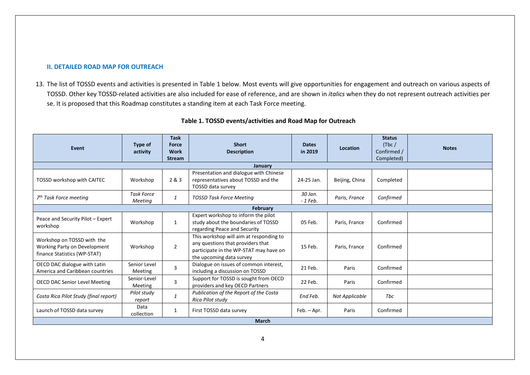#### **II. DETAILED ROAD MAP FOR OUTREACH**

13. The list of TOSSD events and activities is presented in Table 1 below. Most events will give opportunities for engagement and outreach on various aspects of TOSSD. Other key TOSSD-related activities are also included for ease of reference, and are shown in *italics* when they do not represent outreach activities per se. It is proposed that this Roadmap constitutes a standing item at each Task Force meeting.

| Event                                                                                      | Type of<br>activity          | <b>Task</b><br>Force<br><b>Work</b> | <b>Short</b><br><b>Description</b>                                                                                                                 | <b>Dates</b><br>in 2019 | <b>Location</b> | <b>Status</b><br>(Tbc)<br>Confirmed / | <b>Notes</b> |  |
|--------------------------------------------------------------------------------------------|------------------------------|-------------------------------------|----------------------------------------------------------------------------------------------------------------------------------------------------|-------------------------|-----------------|---------------------------------------|--------------|--|
|                                                                                            |                              | <b>Stream</b>                       |                                                                                                                                                    |                         |                 | Completed)                            |              |  |
| January                                                                                    |                              |                                     |                                                                                                                                                    |                         |                 |                                       |              |  |
| <b>TOSSD workshop with CAITEC</b>                                                          | Workshop                     | 2 & 3                               | Presentation and dialogue with Chinese<br>representatives about TOSSD and the<br><b>TOSSD data survey</b>                                          | 24-25 Jan.              | Beijing, China  | Completed                             |              |  |
| 7 <sup>th</sup> Task Force meeting                                                         | <b>Task Force</b><br>Meetina | 1                                   | <b>TOSSD Task Force Meeting</b>                                                                                                                    | 30 Jan.<br>$-1$ Feb.    | Paris, France   | Confirmed                             |              |  |
| <b>February</b>                                                                            |                              |                                     |                                                                                                                                                    |                         |                 |                                       |              |  |
| Peace and Security Pilot - Expert<br>workshop                                              | Workshop                     | $\mathbf{1}$                        | Expert workshop to inform the pilot<br>study about the boundaries of TOSSD<br>regarding Peace and Security                                         | 05 Feb.                 | Paris, France   | Confirmed                             |              |  |
| Workshop on TOSSD with the<br>Working Party on Development<br>finance Statistics (WP-STAT) | Workshop                     | $\overline{2}$                      | This workshop will aim at responding to<br>any questions that providers that<br>participate in the WP-STAT may have on<br>the upcoming data survey | 15 Feb.                 | Paris, France   | Confirmed                             |              |  |
| OECD DAC dialogue with Latin<br>America and Caribbean countries                            | Senior Level<br>Meeting      | $\overline{3}$                      | Dialogue on issues of common interest,<br>including a discussion on TOSSD                                                                          | 21 Feb.                 | Paris           | Confirmed                             |              |  |
| <b>OECD DAC Senior Level Meeting</b>                                                       | Senior-Level<br>Meeting      | $\overline{3}$                      | Support for TOSSD is sought from OECD<br>providers and key OECD Partners                                                                           | 22 Feb.                 | Paris           | Confirmed                             |              |  |
| Costa Rica Pilot Study (final report)                                                      | Pilot study<br>report        | $\mathbf{1}$                        | Publication of the Report of the Costa<br>Rica Pilot study                                                                                         | End Feb.                | Not Applicable  | Tbc                                   |              |  |
| Launch of TOSSD data survey                                                                | Data<br>collection           | 1                                   | First TOSSD data survey                                                                                                                            | Feb. - Apr.             | Paris           | Confirmed                             |              |  |
| <b>March</b>                                                                               |                              |                                     |                                                                                                                                                    |                         |                 |                                       |              |  |

# **Table 1. TOSSD events/activities and Road Map for Outreach**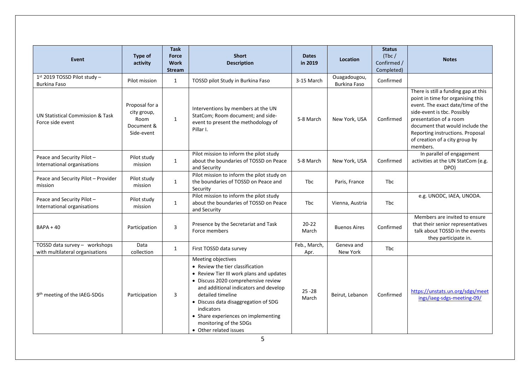| Event                                                            | Type of<br>activity                                               | <b>Task</b><br><b>Force</b><br><b>Work</b><br><b>Stream</b> | <b>Short</b><br><b>Description</b>                                                                                                                                                                                                                                                                                                                       | <b>Dates</b><br>in 2019 | <b>Location</b>                     | <b>Status</b><br>(Tbc)<br>Confirmed /<br>Completed) | <b>Notes</b>                                                                                                                                                                                                                                                                                 |
|------------------------------------------------------------------|-------------------------------------------------------------------|-------------------------------------------------------------|----------------------------------------------------------------------------------------------------------------------------------------------------------------------------------------------------------------------------------------------------------------------------------------------------------------------------------------------------------|-------------------------|-------------------------------------|-----------------------------------------------------|----------------------------------------------------------------------------------------------------------------------------------------------------------------------------------------------------------------------------------------------------------------------------------------------|
| $1st$ 2019 TOSSD Pilot study -<br><b>Burkina Faso</b>            | Pilot mission                                                     | $\mathbf{1}$                                                | TOSSD pilot Study in Burkina Faso                                                                                                                                                                                                                                                                                                                        | 3-15 March              | Ouagadougou,<br><b>Burkina Faso</b> | Confirmed                                           |                                                                                                                                                                                                                                                                                              |
| UN Statistical Commission & Task<br>Force side event             | Proposal for a<br>city group,<br>Room<br>Document &<br>Side-event | $\mathbf{1}$                                                | Interventions by members at the UN<br>StatCom; Room document; and side-<br>event to present the methodology of<br>Pillar I.                                                                                                                                                                                                                              | 5-8 March               | New York, USA                       | Confirmed                                           | There is still a funding gap at this<br>point in time for organising this<br>event. The exact date/time of the<br>side-event is tbc. Possibly<br>presentation of a room<br>document that would include the<br>Reporting instructions. Proposal<br>of creation of a city group by<br>members. |
| Peace and Security Pilot -<br>International organisations        | Pilot study<br>mission                                            | $\mathbf{1}$                                                | Pilot mission to inform the pilot study<br>about the boundaries of TOSSD on Peace<br>and Security                                                                                                                                                                                                                                                        | 5-8 March               | New York, USA                       | Confirmed                                           | In parallel of engagement<br>activities at the UN StatCom (e.g.<br>DPO)                                                                                                                                                                                                                      |
| Peace and Security Pilot - Provider<br>mission                   | Pilot study<br>mission                                            | $\mathbf{1}$                                                | Pilot mission to inform the pilot study on<br>the boundaries of TOSSD on Peace and<br>Security                                                                                                                                                                                                                                                           | <b>Thc</b>              | Paris, France                       | Tbc                                                 |                                                                                                                                                                                                                                                                                              |
| Peace and Security Pilot -<br>International organisations        | Pilot study<br>mission                                            | $\mathbf{1}$                                                | Pilot mission to inform the pilot study<br>about the boundaries of TOSSD on Peace<br>and Security                                                                                                                                                                                                                                                        | Tbc                     | Vienna, Austria                     | <b>Tbc</b>                                          | e.g. UNODC, IAEA, UNODA.                                                                                                                                                                                                                                                                     |
| <b>BAPA + 40</b>                                                 | Participation                                                     | 3                                                           | Presence by the Secretariat and Task<br>Force members                                                                                                                                                                                                                                                                                                    | $20 - 22$<br>March      | <b>Buenos Aires</b>                 | Confirmed                                           | Members are invited to ensure<br>that their senior representatives<br>talk about TOSSD in the events<br>they participate in.                                                                                                                                                                 |
| TOSSD data survey - workshops<br>with multilateral organisations | Data<br>collection                                                | $\mathbf{1}$                                                | First TOSSD data survey                                                                                                                                                                                                                                                                                                                                  | Feb., March,<br>Apr.    | Geneva and<br>New York              | Tbc                                                 |                                                                                                                                                                                                                                                                                              |
| 9th meeting of the IAEG-SDGs                                     | Participation                                                     | 3                                                           | Meeting objectives<br>• Review the tier classification<br>• Review Tier III work plans and updates<br>· Discuss 2020 comprehensive review<br>and additional indicators and develop<br>detailed timeline<br>• Discuss data disaggregation of SDG<br>indicators<br>• Share experiences on implementing<br>monitoring of the SDGs<br>• Other related issues | $25 - 28$<br>March      | Beirut, Lebanon                     | Confirmed                                           | https://unstats.un.org/sdgs/meet<br>ings/iaeg-sdgs-meeting-09/                                                                                                                                                                                                                               |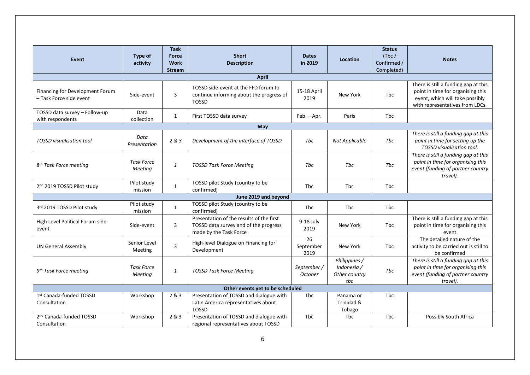| <b>Event</b>                                               | Type of<br>activity          | <b>Task</b><br><b>Force</b><br><b>Work</b><br><b>Stream</b> | <b>Short</b><br><b>Description</b>                                                                          | <b>Dates</b><br>in 2019       | Location                                             | <b>Status</b><br>(Tbc)<br>Confirmed /<br>Completed) | <b>Notes</b>                                                                                                                                    |  |
|------------------------------------------------------------|------------------------------|-------------------------------------------------------------|-------------------------------------------------------------------------------------------------------------|-------------------------------|------------------------------------------------------|-----------------------------------------------------|-------------------------------------------------------------------------------------------------------------------------------------------------|--|
|                                                            |                              |                                                             | <b>April</b>                                                                                                |                               |                                                      |                                                     |                                                                                                                                                 |  |
| Financing for Development Forum<br>- Task Force side event | Side-event                   | 3                                                           | TOSSD side-event at the FFD forum to<br>continue informing about the progress of<br><b>TOSSD</b>            | 15-18 April<br>2019           | New York                                             | <b>Thc</b>                                          | There is still a funding gap at this<br>point in time for organising this<br>event, which will take possibly<br>with representatives from LDCs. |  |
| TOSSD data survey - Follow-up<br>with respondents          | Data<br>collection           | $\mathbf{1}$                                                | First TOSSD data survey                                                                                     | Feb. - Apr.                   | Paris                                                | <b>Tbc</b>                                          |                                                                                                                                                 |  |
| May                                                        |                              |                                                             |                                                                                                             |                               |                                                      |                                                     |                                                                                                                                                 |  |
| <b>TOSSD</b> visualisation tool                            | Data<br>Presentation         | 2 & 3                                                       | Development of the interface of TOSSD                                                                       | Tbc                           | Not Applicable                                       | Tbc                                                 | There is still a funding gap at this<br>point in time for setting up the<br>TOSSD visualisation tool.                                           |  |
| 8 <sup>th</sup> Task Force meeting                         | <b>Task Force</b><br>Meeting | $\mathbf{1}$                                                | <b>TOSSD Task Force Meeting</b>                                                                             | <b>Thc</b>                    | <b>Thc</b>                                           | <b>Thc</b>                                          | There is still a funding gap at this<br>point in time for organising this<br>event (funding of partner country<br>travel).                      |  |
| 2 <sup>nd</sup> 2019 TOSSD Pilot study                     | Pilot study<br>mission       | $\mathbf{1}$                                                | TOSSD pilot Study (country to be<br>confirmed)                                                              | Tbc                           | <b>Tbc</b>                                           | Tbc                                                 |                                                                                                                                                 |  |
|                                                            |                              |                                                             | June 2019 and beyond                                                                                        |                               |                                                      |                                                     |                                                                                                                                                 |  |
| 3rd 2019 TOSSD Pilot study                                 | Pilot study<br>mission       | $\mathbf{1}$                                                | TOSSD pilot Study (country to be<br>confirmed)                                                              | Tbc                           | Tbc                                                  | <b>Tbc</b>                                          |                                                                                                                                                 |  |
| High Level Political Forum side-<br>event                  | Side-event                   | 3                                                           | Presentation of the results of the first<br>TOSSD data survey and of the progress<br>made by the Task Force | 9-18 July<br>2019             | New York                                             | <b>Thc</b>                                          | There is still a funding gap at this<br>point in time for organising this<br>event                                                              |  |
| <b>UN General Assembly</b>                                 | Senior Level<br>Meeting      | 3                                                           | High-level Dialogue on Financing for<br>Development                                                         | 26<br>September<br>2019       | New York                                             | Tbc                                                 | The detailed nature of the<br>activity to be carried out is still to<br>be confirmed                                                            |  |
| 9 <sup>th</sup> Task Force meeting                         | Task Force<br>Meeting        | $\it 1$                                                     | <b>TOSSD Task Force Meeting</b>                                                                             | September /<br><b>October</b> | Philippines /<br>Indonesia /<br>Other country<br>tbc | Tbc                                                 | There is still a funding gap at this<br>point in time for organising this<br>event (funding of partner country<br>travel).                      |  |
| Other events yet to be scheduled                           |                              |                                                             |                                                                                                             |                               |                                                      |                                                     |                                                                                                                                                 |  |
| 1st Canada-funded TOSSD<br>Consultation                    | Workshop                     | 2 & 3                                                       | Presentation of TOSSD and dialogue with<br>Latin America representatives about<br><b>TOSSD</b>              | Tbc                           | Panama or<br>Trinidad &<br>Tobago                    | <b>Tbc</b>                                          |                                                                                                                                                 |  |
| 2 <sup>nd</sup> Canada-funded TOSSD<br>Consultation        | Workshop                     | 2 & 3                                                       | Presentation of TOSSD and dialogue with<br>regional representatives about TOSSD                             | Tbc                           | <b>Tbc</b>                                           | Tbc                                                 | Possibly South Africa                                                                                                                           |  |